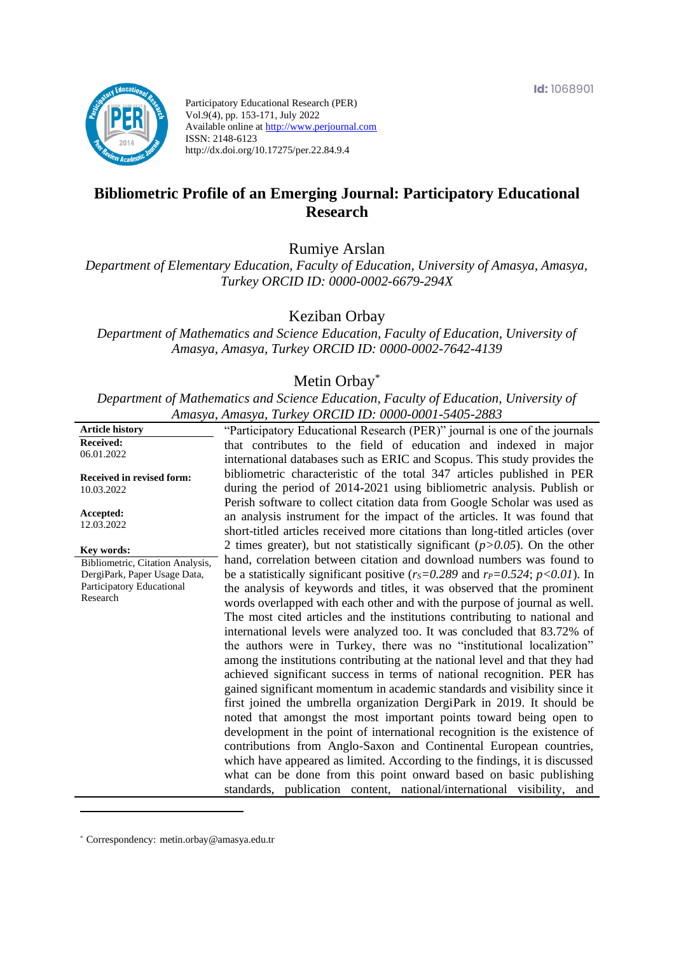

Participatory Educational Research (PER) Vol.9(4), pp. 153-171, July 2022 Available online at http://www.perjournal.com ISSN: 2148-6123 http://dx.doi.org/10.17275/per.22.84.9.4

# **Bibliometric Profile of an Emerging Journal: Participatory Educational Research**

Rumiye Arslan

*Department of Elementary Education, Faculty of Education, University of Amasya, Amasya, Turkey ORCID ID: 0000-0002-6679-294X*

Keziban Orbay

*Department of Mathematics and Science Education, Faculty of Education, University of Amasya, Amasya, Turkey ORCID ID: 0000-0002-7642-4139*

## Metin Orbay\*

*Department of Mathematics and Science Education, Faculty of Education, University of Amasya, Amasya, Turkey ORCID ID: 0000-0001-5405-2883*

| <b>Received:</b><br>that contributes to the field of education and indexed in major<br>06.01.2022<br>international databases such as ERIC and Scopus. This study provides the<br>bibliometric characteristic of the total 347 articles published in PER<br><b>Received in revised form:</b><br>during the period of 2014-2021 using bibliometric analysis. Publish or<br>10.03.2022<br>Perish software to collect citation data from Google Scholar was used as<br>Accepted:<br>an analysis instrument for the impact of the articles. It was found that<br>12.03.2022<br>short-titled articles received more citations than long-titled articles (over<br>2 times greater), but not statistically significant $(p>0.05)$ . On the other<br>Key words:<br>hand, correlation between citation and download numbers was found to<br>Bibliometric, Citation Analysis,<br>be a statistically significant positive ( $r_s = 0.289$ and $r_p = 0.524$ ; $p < 0.01$ ). In<br>DergiPark, Paper Usage Data,<br>Participatory Educational<br>the analysis of keywords and titles, it was observed that the prominent<br>Research<br>words overlapped with each other and with the purpose of journal as well.<br>The most cited articles and the institutions contributing to national and<br>international levels were analyzed too. It was concluded that 83.72% of<br>the authors were in Turkey, there was no "institutional localization"<br>among the institutions contributing at the national level and that they had<br>achieved significant success in terms of national recognition. PER has<br>gained significant momentum in academic standards and visibility since it<br>first joined the umbrella organization DergiPark in 2019. It should be<br>noted that amongst the most important points toward being open to<br>development in the point of international recognition is the existence of<br>contributions from Anglo-Saxon and Continental European countries,<br>which have appeared as limited. According to the findings, it is discussed<br>what can be done from this point onward based on basic publishing<br>standards, publication content, national/international visibility, and |                        |                                                                           |
|-----------------------------------------------------------------------------------------------------------------------------------------------------------------------------------------------------------------------------------------------------------------------------------------------------------------------------------------------------------------------------------------------------------------------------------------------------------------------------------------------------------------------------------------------------------------------------------------------------------------------------------------------------------------------------------------------------------------------------------------------------------------------------------------------------------------------------------------------------------------------------------------------------------------------------------------------------------------------------------------------------------------------------------------------------------------------------------------------------------------------------------------------------------------------------------------------------------------------------------------------------------------------------------------------------------------------------------------------------------------------------------------------------------------------------------------------------------------------------------------------------------------------------------------------------------------------------------------------------------------------------------------------------------------------------------------------------------------------------------------------------------------------------------------------------------------------------------------------------------------------------------------------------------------------------------------------------------------------------------------------------------------------------------------------------------------------------------------------------------------------------------------------------------------------------------------------------------|------------------------|---------------------------------------------------------------------------|
|                                                                                                                                                                                                                                                                                                                                                                                                                                                                                                                                                                                                                                                                                                                                                                                                                                                                                                                                                                                                                                                                                                                                                                                                                                                                                                                                                                                                                                                                                                                                                                                                                                                                                                                                                                                                                                                                                                                                                                                                                                                                                                                                                                                                           | <b>Article history</b> | "Participatory Educational Research (PER)" journal is one of the journals |
|                                                                                                                                                                                                                                                                                                                                                                                                                                                                                                                                                                                                                                                                                                                                                                                                                                                                                                                                                                                                                                                                                                                                                                                                                                                                                                                                                                                                                                                                                                                                                                                                                                                                                                                                                                                                                                                                                                                                                                                                                                                                                                                                                                                                           |                        |                                                                           |
|                                                                                                                                                                                                                                                                                                                                                                                                                                                                                                                                                                                                                                                                                                                                                                                                                                                                                                                                                                                                                                                                                                                                                                                                                                                                                                                                                                                                                                                                                                                                                                                                                                                                                                                                                                                                                                                                                                                                                                                                                                                                                                                                                                                                           |                        |                                                                           |
|                                                                                                                                                                                                                                                                                                                                                                                                                                                                                                                                                                                                                                                                                                                                                                                                                                                                                                                                                                                                                                                                                                                                                                                                                                                                                                                                                                                                                                                                                                                                                                                                                                                                                                                                                                                                                                                                                                                                                                                                                                                                                                                                                                                                           |                        |                                                                           |
|                                                                                                                                                                                                                                                                                                                                                                                                                                                                                                                                                                                                                                                                                                                                                                                                                                                                                                                                                                                                                                                                                                                                                                                                                                                                                                                                                                                                                                                                                                                                                                                                                                                                                                                                                                                                                                                                                                                                                                                                                                                                                                                                                                                                           |                        |                                                                           |
|                                                                                                                                                                                                                                                                                                                                                                                                                                                                                                                                                                                                                                                                                                                                                                                                                                                                                                                                                                                                                                                                                                                                                                                                                                                                                                                                                                                                                                                                                                                                                                                                                                                                                                                                                                                                                                                                                                                                                                                                                                                                                                                                                                                                           |                        |                                                                           |
|                                                                                                                                                                                                                                                                                                                                                                                                                                                                                                                                                                                                                                                                                                                                                                                                                                                                                                                                                                                                                                                                                                                                                                                                                                                                                                                                                                                                                                                                                                                                                                                                                                                                                                                                                                                                                                                                                                                                                                                                                                                                                                                                                                                                           |                        |                                                                           |
|                                                                                                                                                                                                                                                                                                                                                                                                                                                                                                                                                                                                                                                                                                                                                                                                                                                                                                                                                                                                                                                                                                                                                                                                                                                                                                                                                                                                                                                                                                                                                                                                                                                                                                                                                                                                                                                                                                                                                                                                                                                                                                                                                                                                           |                        |                                                                           |
|                                                                                                                                                                                                                                                                                                                                                                                                                                                                                                                                                                                                                                                                                                                                                                                                                                                                                                                                                                                                                                                                                                                                                                                                                                                                                                                                                                                                                                                                                                                                                                                                                                                                                                                                                                                                                                                                                                                                                                                                                                                                                                                                                                                                           |                        |                                                                           |
|                                                                                                                                                                                                                                                                                                                                                                                                                                                                                                                                                                                                                                                                                                                                                                                                                                                                                                                                                                                                                                                                                                                                                                                                                                                                                                                                                                                                                                                                                                                                                                                                                                                                                                                                                                                                                                                                                                                                                                                                                                                                                                                                                                                                           |                        |                                                                           |
|                                                                                                                                                                                                                                                                                                                                                                                                                                                                                                                                                                                                                                                                                                                                                                                                                                                                                                                                                                                                                                                                                                                                                                                                                                                                                                                                                                                                                                                                                                                                                                                                                                                                                                                                                                                                                                                                                                                                                                                                                                                                                                                                                                                                           |                        |                                                                           |
|                                                                                                                                                                                                                                                                                                                                                                                                                                                                                                                                                                                                                                                                                                                                                                                                                                                                                                                                                                                                                                                                                                                                                                                                                                                                                                                                                                                                                                                                                                                                                                                                                                                                                                                                                                                                                                                                                                                                                                                                                                                                                                                                                                                                           |                        |                                                                           |
|                                                                                                                                                                                                                                                                                                                                                                                                                                                                                                                                                                                                                                                                                                                                                                                                                                                                                                                                                                                                                                                                                                                                                                                                                                                                                                                                                                                                                                                                                                                                                                                                                                                                                                                                                                                                                                                                                                                                                                                                                                                                                                                                                                                                           |                        |                                                                           |
|                                                                                                                                                                                                                                                                                                                                                                                                                                                                                                                                                                                                                                                                                                                                                                                                                                                                                                                                                                                                                                                                                                                                                                                                                                                                                                                                                                                                                                                                                                                                                                                                                                                                                                                                                                                                                                                                                                                                                                                                                                                                                                                                                                                                           |                        |                                                                           |
|                                                                                                                                                                                                                                                                                                                                                                                                                                                                                                                                                                                                                                                                                                                                                                                                                                                                                                                                                                                                                                                                                                                                                                                                                                                                                                                                                                                                                                                                                                                                                                                                                                                                                                                                                                                                                                                                                                                                                                                                                                                                                                                                                                                                           |                        |                                                                           |
|                                                                                                                                                                                                                                                                                                                                                                                                                                                                                                                                                                                                                                                                                                                                                                                                                                                                                                                                                                                                                                                                                                                                                                                                                                                                                                                                                                                                                                                                                                                                                                                                                                                                                                                                                                                                                                                                                                                                                                                                                                                                                                                                                                                                           |                        |                                                                           |
|                                                                                                                                                                                                                                                                                                                                                                                                                                                                                                                                                                                                                                                                                                                                                                                                                                                                                                                                                                                                                                                                                                                                                                                                                                                                                                                                                                                                                                                                                                                                                                                                                                                                                                                                                                                                                                                                                                                                                                                                                                                                                                                                                                                                           |                        |                                                                           |
|                                                                                                                                                                                                                                                                                                                                                                                                                                                                                                                                                                                                                                                                                                                                                                                                                                                                                                                                                                                                                                                                                                                                                                                                                                                                                                                                                                                                                                                                                                                                                                                                                                                                                                                                                                                                                                                                                                                                                                                                                                                                                                                                                                                                           |                        |                                                                           |
|                                                                                                                                                                                                                                                                                                                                                                                                                                                                                                                                                                                                                                                                                                                                                                                                                                                                                                                                                                                                                                                                                                                                                                                                                                                                                                                                                                                                                                                                                                                                                                                                                                                                                                                                                                                                                                                                                                                                                                                                                                                                                                                                                                                                           |                        |                                                                           |
|                                                                                                                                                                                                                                                                                                                                                                                                                                                                                                                                                                                                                                                                                                                                                                                                                                                                                                                                                                                                                                                                                                                                                                                                                                                                                                                                                                                                                                                                                                                                                                                                                                                                                                                                                                                                                                                                                                                                                                                                                                                                                                                                                                                                           |                        |                                                                           |
|                                                                                                                                                                                                                                                                                                                                                                                                                                                                                                                                                                                                                                                                                                                                                                                                                                                                                                                                                                                                                                                                                                                                                                                                                                                                                                                                                                                                                                                                                                                                                                                                                                                                                                                                                                                                                                                                                                                                                                                                                                                                                                                                                                                                           |                        |                                                                           |
|                                                                                                                                                                                                                                                                                                                                                                                                                                                                                                                                                                                                                                                                                                                                                                                                                                                                                                                                                                                                                                                                                                                                                                                                                                                                                                                                                                                                                                                                                                                                                                                                                                                                                                                                                                                                                                                                                                                                                                                                                                                                                                                                                                                                           |                        |                                                                           |
|                                                                                                                                                                                                                                                                                                                                                                                                                                                                                                                                                                                                                                                                                                                                                                                                                                                                                                                                                                                                                                                                                                                                                                                                                                                                                                                                                                                                                                                                                                                                                                                                                                                                                                                                                                                                                                                                                                                                                                                                                                                                                                                                                                                                           |                        |                                                                           |
|                                                                                                                                                                                                                                                                                                                                                                                                                                                                                                                                                                                                                                                                                                                                                                                                                                                                                                                                                                                                                                                                                                                                                                                                                                                                                                                                                                                                                                                                                                                                                                                                                                                                                                                                                                                                                                                                                                                                                                                                                                                                                                                                                                                                           |                        |                                                                           |
|                                                                                                                                                                                                                                                                                                                                                                                                                                                                                                                                                                                                                                                                                                                                                                                                                                                                                                                                                                                                                                                                                                                                                                                                                                                                                                                                                                                                                                                                                                                                                                                                                                                                                                                                                                                                                                                                                                                                                                                                                                                                                                                                                                                                           |                        |                                                                           |
|                                                                                                                                                                                                                                                                                                                                                                                                                                                                                                                                                                                                                                                                                                                                                                                                                                                                                                                                                                                                                                                                                                                                                                                                                                                                                                                                                                                                                                                                                                                                                                                                                                                                                                                                                                                                                                                                                                                                                                                                                                                                                                                                                                                                           |                        |                                                                           |
|                                                                                                                                                                                                                                                                                                                                                                                                                                                                                                                                                                                                                                                                                                                                                                                                                                                                                                                                                                                                                                                                                                                                                                                                                                                                                                                                                                                                                                                                                                                                                                                                                                                                                                                                                                                                                                                                                                                                                                                                                                                                                                                                                                                                           |                        |                                                                           |
|                                                                                                                                                                                                                                                                                                                                                                                                                                                                                                                                                                                                                                                                                                                                                                                                                                                                                                                                                                                                                                                                                                                                                                                                                                                                                                                                                                                                                                                                                                                                                                                                                                                                                                                                                                                                                                                                                                                                                                                                                                                                                                                                                                                                           |                        |                                                                           |

\* [Correspondency:](mailto:Correspondency:) metin.orbay@amasya.edu.tr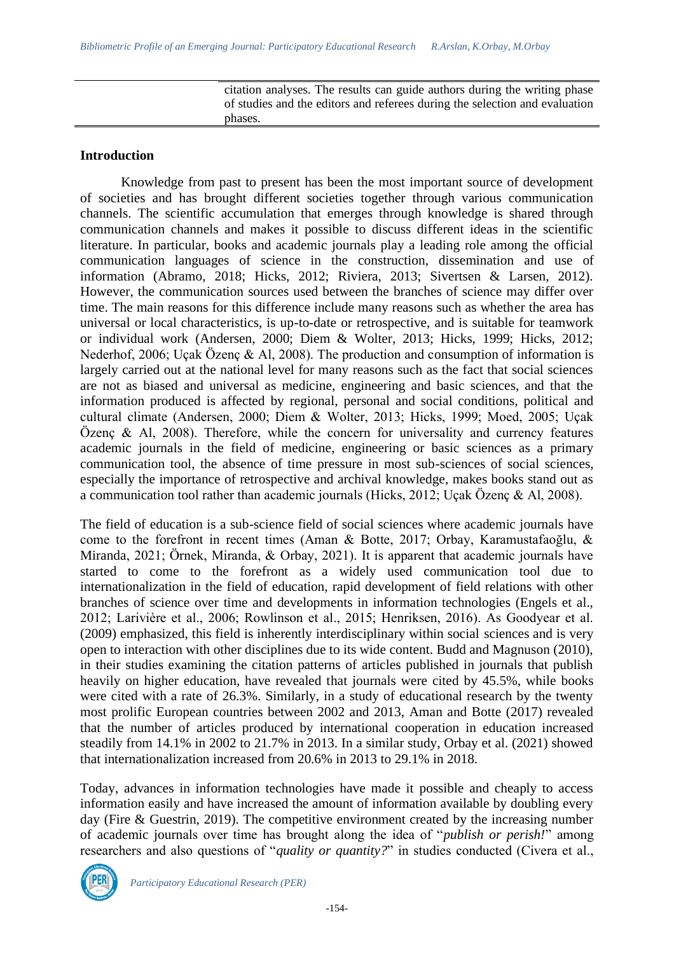citation analyses. The results can guide authors during the writing phase of studies and the editors and referees during the selection and evaluation phases.

### **Introduction**

Knowledge from past to present has been the most important source of development of societies and has brought different societies together through various communication channels. The scientific accumulation that emerges through knowledge is shared through communication channels and makes it possible to discuss different ideas in the scientific literature. In particular, books and academic journals play a leading role among the official communication languages of science in the construction, dissemination and use of information (Abramo, 2018; Hicks, 2012; Riviera, 2013; Sivertsen & Larsen, 2012). However, the communication sources used between the branches of science may differ over time. The main reasons for this difference include many reasons such as whether the area has universal or local characteristics, is up-to-date or retrospective, and is suitable for teamwork or individual work (Andersen, 2000; Diem & Wolter, 2013; Hicks, 1999; Hicks, 2012; Nederhof, 2006; Uçak Özenç & Al, 2008). The production and consumption of information is largely carried out at the national level for many reasons such as the fact that social sciences are not as biased and universal as medicine, engineering and basic sciences, and that the information produced is affected by regional, personal and social conditions, political and cultural climate (Andersen, 2000; Diem & Wolter, 2013; Hicks, 1999; Moed, 2005; Uçak Özenç & Al, 2008). Therefore, while the concern for universality and currency features academic journals in the field of medicine, engineering or basic sciences as a primary communication tool, the absence of time pressure in most sub-sciences of social sciences, especially the importance of retrospective and archival knowledge, makes books stand out as a communication tool rather than academic journals (Hicks, 2012; Uçak Özenç & Al, 2008).

The field of education is a sub-science field of social sciences where academic journals have come to the forefront in recent times (Aman & Botte, 2017; Orbay, Karamustafaoğlu, & Miranda, 2021; Örnek, Miranda, & Orbay, 2021). It is apparent that academic journals have started to come to the forefront as a widely used communication tool due to internationalization in the field of education, rapid development of field relations with other branches of science over time and developments in information technologies (Engels et al., 2012; Larivière et al., 2006; Rowlinson et al., 2015; Henriksen, 2016). As Goodyear et al. (2009) emphasized, this field is inherently interdisciplinary within social sciences and is very open to interaction with other disciplines due to its wide content. Budd and Magnuson (2010), in their studies examining the citation patterns of articles published in journals that publish heavily on higher education, have revealed that journals were cited by 45.5%, while books were cited with a rate of 26.3%. Similarly, in a study of educational research by the twenty most prolific European countries between 2002 and 2013, Aman and Botte (2017) revealed that the number of articles produced by international cooperation in education increased steadily from 14.1% in 2002 to 21.7% in 2013. In a similar study, Orbay et al. (2021) showed that internationalization increased from 20.6% in 2013 to 29.1% in 2018.

Today, advances in information technologies have made it possible and cheaply to access information easily and have increased the amount of information available by doubling every day (Fire & Guestrin, 2019). The competitive environment created by the increasing number of academic journals over time has brought along the idea of "*publish or perish!*" among researchers and also questions of "*quality or quantity?*" in studies conducted (Civera et al.,

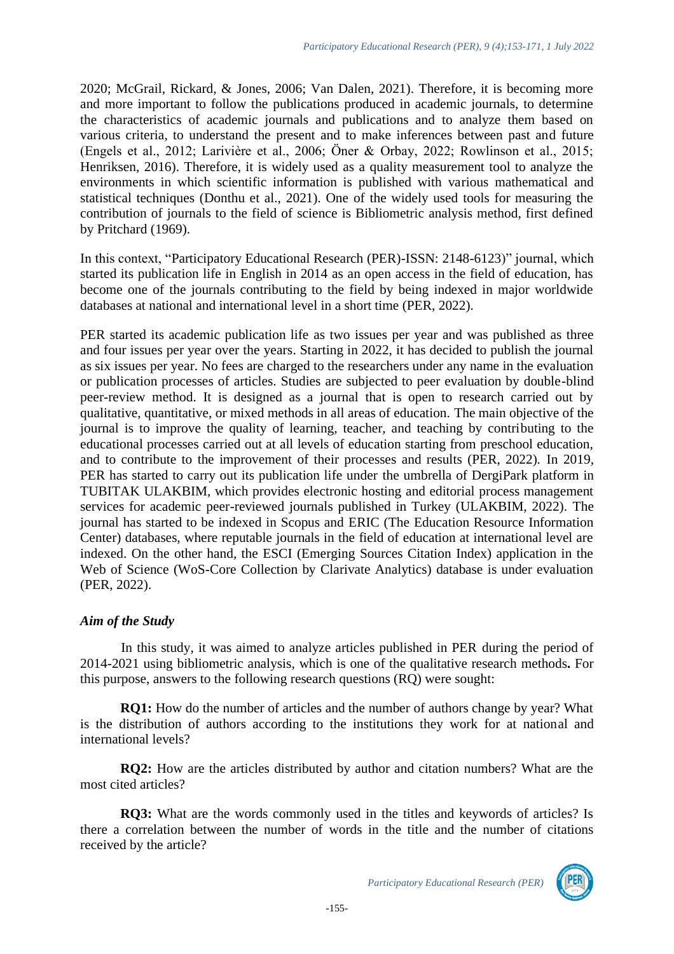2020; McGrail, Rickard, & Jones, 2006; Van Dalen, 2021). Therefore, it is becoming more and more important to follow the publications produced in academic journals, to determine the characteristics of academic journals and publications and to analyze them based on various criteria, to understand the present and to make inferences between past and future (Engels et al., 2012; Larivière et al., 2006; Öner & Orbay, 2022; Rowlinson et al., 2015; Henriksen, 2016). Therefore, it is widely used as a quality measurement tool to analyze the environments in which scientific information is published with various mathematical and statistical techniques (Donthu et al., 2021). One of the widely used tools for measuring the contribution of journals to the field of science is Bibliometric analysis method, first defined by Pritchard (1969).

In this context, "Participatory Educational Research (PER)-ISSN: 2148-6123)" journal, which started its publication life in English in 2014 as an open access in the field of education, has become one of the journals contributing to the field by being indexed in major worldwide databases at national and international level in a short time (PER, 2022).

PER started its academic publication life as two issues per year and was published as three and four issues per year over the years. Starting in 2022, it has decided to publish the journal as six issues per year. No fees are charged to the researchers under any name in the evaluation or publication processes of articles. Studies are subjected to peer evaluation by double-blind peer-review method. It is designed as a journal that is open to research carried out by qualitative, quantitative, or mixed methods in all areas of education. The main objective of the journal is to improve the quality of learning, teacher, and teaching by contributing to the educational processes carried out at all levels of education starting from preschool education, and to contribute to the improvement of their processes and results (PER, 2022). In 2019, PER has started to carry out its publication life under the umbrella of DergiPark platform in TUBITAK ULAKBIM, which provides electronic hosting and editorial process management services for academic peer-reviewed journals published in Turkey (ULAKBIM, 2022). The journal has started to be indexed in Scopus and ERIC (The Education Resource Information Center) databases, where reputable journals in the field of education at international level are indexed. On the other hand, the ESCI (Emerging Sources Citation Index) application in the Web of Science (WoS-Core Collection by Clarivate Analytics) database is under evaluation (PER, 2022).

### *Aim of the Study*

In this study, it was aimed to analyze articles published in PER during the period of 2014-2021 using bibliometric analysis, which is one of the qualitative research methods**.** For this purpose, answers to the following research questions (RQ) were sought:

**RQ1:** How do the number of articles and the number of authors change by year? What is the distribution of authors according to the institutions they work for at national and international levels?

**RQ2:** How are the articles distributed by author and citation numbers? What are the most cited articles?

**RQ3:** What are the words commonly used in the titles and keywords of articles? Is there a correlation between the number of words in the title and the number of citations received by the article?

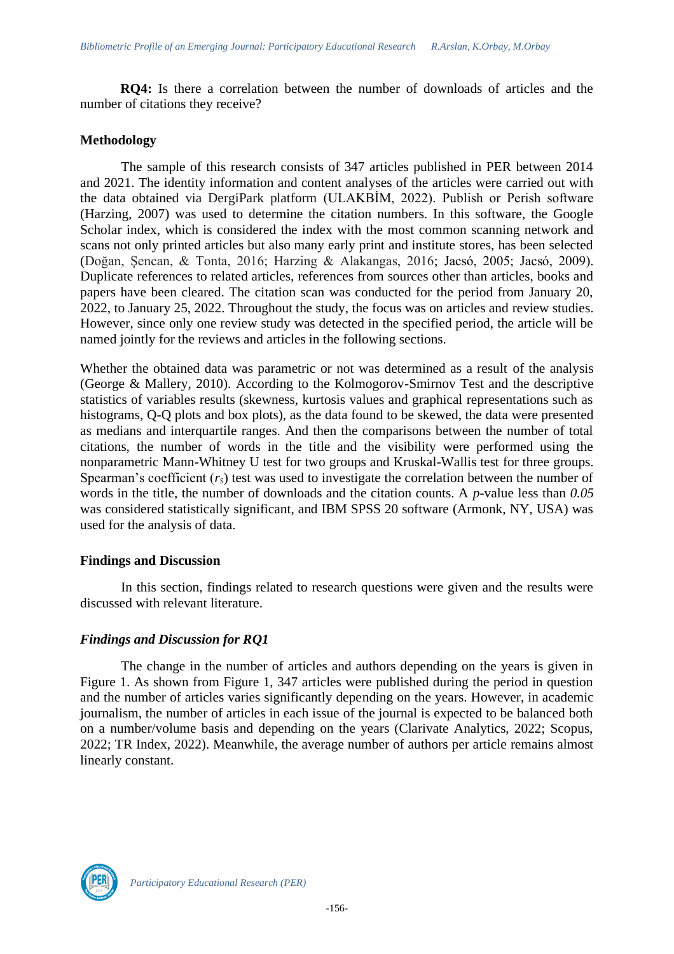**RQ4:** Is there a correlation between the number of downloads of articles and the number of citations they receive?

### **Methodology**

The sample of this research consists of 347 articles published in PER between 2014 and 2021. The identity information and content analyses of the articles were carried out with the data obtained via DergiPark platform (ULAKBİM, 2022). Publish or Perish software (Harzing, 2007) was used to determine the citation numbers. In this software, the Google Scholar index, which is considered the index with the most common scanning network and scans not only printed articles but also many early print and institute stores, has been selected (Doğan, Şencan, & Tonta, 2016; Harzing & Alakangas, 2016; Jacsó, 2005; Jacsó, 2009). Duplicate references to related articles, references from sources other than articles, books and papers have been cleared. The citation scan was conducted for the period from January 20, 2022, to January 25, 2022. Throughout the study, the focus was on articles and review studies. However, since only one review study was detected in the specified period, the article will be named jointly for the reviews and articles in the following sections.

Whether the obtained data was parametric or not was determined as a result of the analysis (George & Mallery, 2010). According to the Kolmogorov-Smirnov Test and the descriptive statistics of variables results (skewness, kurtosis values and graphical representations such as histograms, Q-Q plots and box plots), as the data found to be skewed, the data were presented as medians and interquartile ranges. And then the comparisons between the number of total citations, the number of words in the title and the visibility were performed using the nonparametric Mann-Whitney U test for two groups and Kruskal-Wallis test for three groups. Spearman's coefficient ( $r<sub>S</sub>$ ) test was used to investigate the correlation between the number of words in the title, the number of downloads and the citation counts. A *p-*value less than *0.05* was considered statistically significant, and IBM SPSS 20 software (Armonk, NY, USA) was used for the analysis of data.

### **Findings and Discussion**

In this section, findings related to research questions were given and the results were discussed with relevant literature.

### *Findings and Discussion for RQ1*

The change in the number of articles and authors depending on the years is given in Figure 1. As shown from Figure 1, 347 articles were published during the period in question and the number of articles varies significantly depending on the years. However, in academic journalism, the number of articles in each issue of the journal is expected to be balanced both on a number/volume basis and depending on the years (Clarivate Analytics, 2022; Scopus, 2022; TR Index, 2022). Meanwhile, the average number of authors per article remains almost linearly constant.

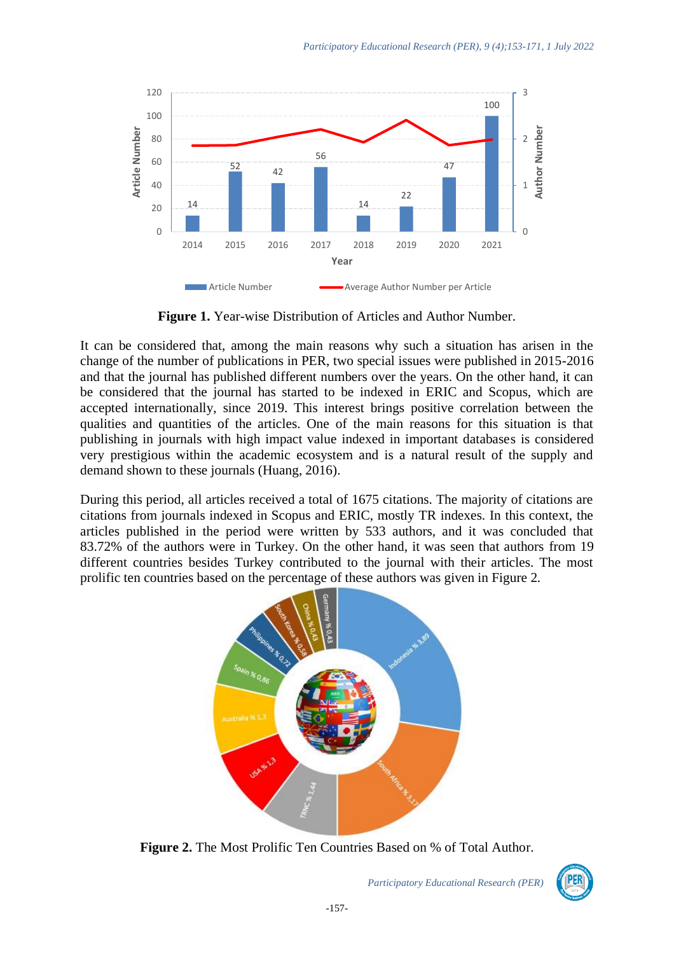

**Figure 1.** Year-wise Distribution of Articles and Author Number.

It can be considered that, among the main reasons why such a situation has arisen in the change of the number of publications in PER, two special issues were published in 2015-2016 and that the journal has published different numbers over the years. On the other hand, it can be considered that the journal has started to be indexed in ERIC and Scopus, which are accepted internationally, since 2019. This interest brings positive correlation between the qualities and quantities of the articles. One of the main reasons for this situation is that publishing in journals with high impact value indexed in important databases is considered very prestigious within the academic ecosystem and is a natural result of the supply and demand shown to these journals (Huang, 2016).

During this period, all articles received a total of 1675 citations. The majority of citations are citations from journals indexed in Scopus and ERIC, mostly TR indexes. In this context, the articles published in the period were written by 533 authors, and it was concluded that 83.72% of the authors were in Turkey. On the other hand, it was seen that authors from 19 different countries besides Turkey contributed to the journal with their articles. The most prolific ten countries based on the percentage of these authors was given in Figure 2.



**Figure 2.** The Most Prolific Ten Countries Based on % of Total Author.

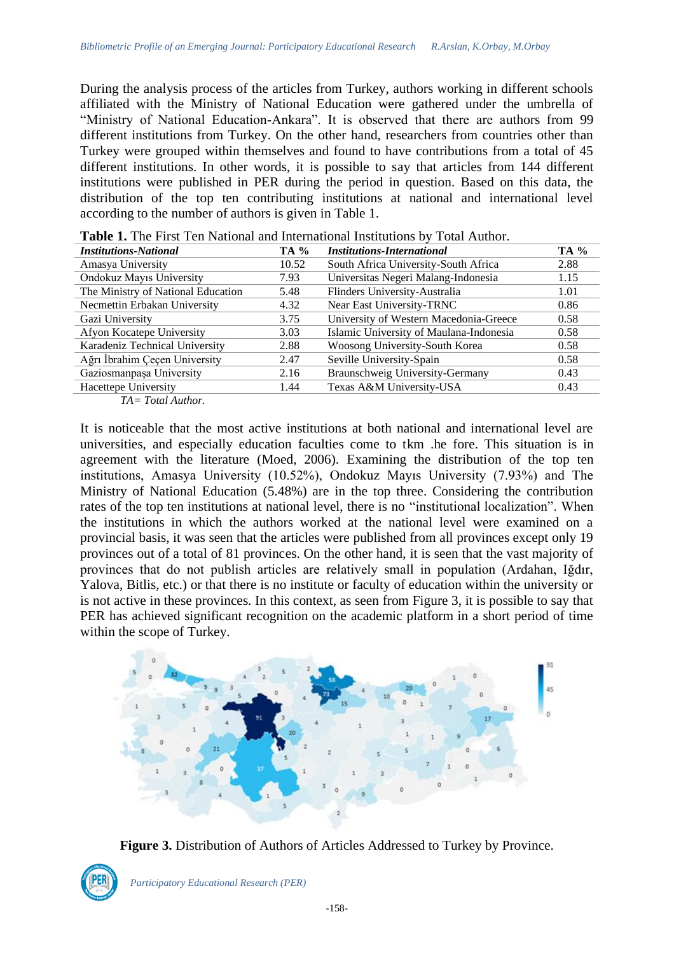During the analysis process of the articles from Turkey, authors working in different schools affiliated with the Ministry of National Education were gathered under the umbrella of "Ministry of National Education-Ankara". It is observed that there are authors from 99 different institutions from Turkey. On the other hand, researchers from countries other than Turkey were grouped within themselves and found to have contributions from a total of 45 different institutions. In other words, it is possible to say that articles from 144 different institutions were published in PER during the period in question. Based on this data, the distribution of the top ten contributing institutions at national and international level according to the number of authors is given in Table 1.

| <b>Institutions-National</b>       | <b>TA</b> % | <b>Institutions-International</b>       | TA % |
|------------------------------------|-------------|-----------------------------------------|------|
| Amasya University                  | 10.52       | South Africa University-South Africa    | 2.88 |
| Ondokuz Mayıs University           | 7.93        | Universitas Negeri Malang-Indonesia     | 1.15 |
| The Ministry of National Education | 5.48        | Flinders University-Australia           | 1.01 |
| Necmettin Erbakan University       | 4.32        | Near East University-TRNC               | 0.86 |
| Gazi University                    | 3.75        | University of Western Macedonia-Greece  | 0.58 |
| Afyon Kocatepe University          | 3.03        | Islamic University of Maulana-Indonesia | 0.58 |
| Karadeniz Technical University     | 2.88        | Woosong University-South Korea          | 0.58 |
| Ağrı İbrahim Çeçen University      | 2.47        | Seville University-Spain                | 0.58 |
| Gaziosmanpaşa University           | 2.16        | Braunschweig University-Germany         | 0.43 |
| Hacettepe University               | 1.44        | Texas A&M University-USA                | 0.43 |
| $TA = Total$ Author                |             |                                         |      |

**Table 1.** The First Ten National and International Institutions by Total Author.

*TA= Total Author.*

It is noticeable that the most active institutions at both national and international level are universities, and especially education faculties come to tkm .he fore. This situation is in agreement with the literature (Moed, 2006). Examining the distribution of the top ten institutions, Amasya University (10.52%), Ondokuz Mayıs University (7.93%) and The Ministry of National Education (5.48%) are in the top three. Considering the contribution rates of the top ten institutions at national level, there is no "institutional localization". When the institutions in which the authors worked at the national level were examined on a provincial basis, it was seen that the articles were published from all provinces except only 19 provinces out of a total of 81 provinces. On the other hand, it is seen that the vast majority of provinces that do not publish articles are relatively small in population (Ardahan, Iğdır, Yalova, Bitlis, etc.) or that there is no institute or faculty of education within the university or is not active in these provinces. In this context, as seen from Figure 3, it is possible to say that PER has achieved significant recognition on the academic platform in a short period of time within the scope of Turkey.



**Figure 3.** Distribution of Authors of Articles Addressed to Turkey by Province.

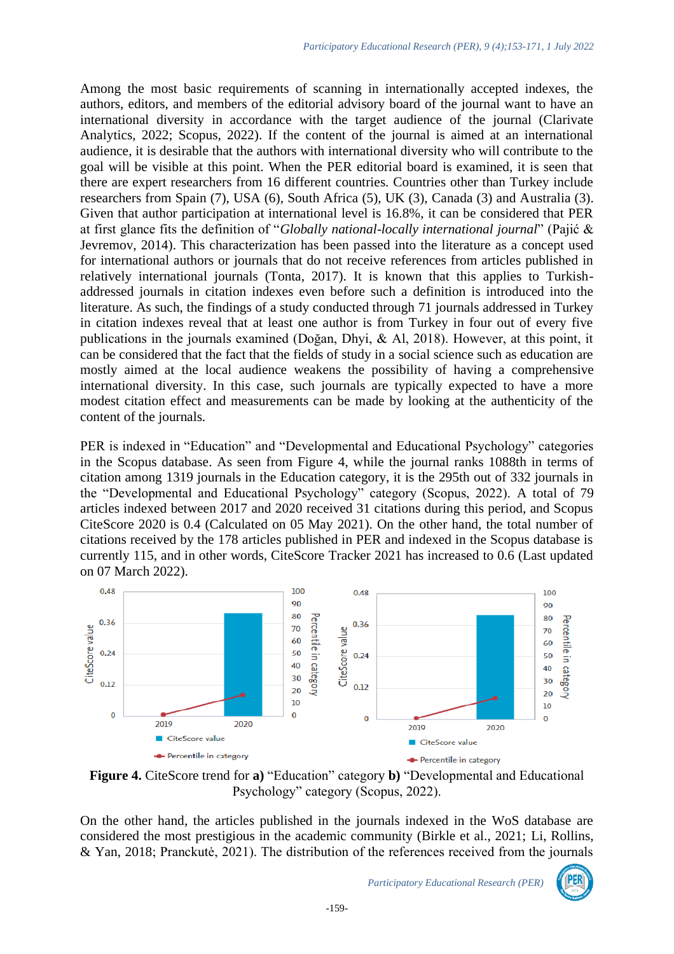Among the most basic requirements of scanning in internationally accepted indexes, the authors, editors, and members of the editorial advisory board of the journal want to have an international diversity in accordance with the target audience of the journal (Clarivate Analytics, 2022; Scopus, 2022). If the content of the journal is aimed at an international audience, it is desirable that the authors with international diversity who will contribute to the goal will be visible at this point. When the PER editorial board is examined, it is seen that there are expert researchers from 16 different countries. Countries other than Turkey include researchers from Spain (7), USA (6), South Africa (5), UK (3), Canada (3) and Australia (3). Given that author participation at international level is 16.8%, it can be considered that PER at first glance fits the definition of "*Globally national-locally international journal*" (Pajić & Jevremov, 2014). This characterization has been passed into the literature as a concept used for international authors or journals that do not receive references from articles published in relatively international journals (Tonta, 2017). It is known that this applies to Turkishaddressed journals in citation indexes even before such a definition is introduced into the literature. As such, the findings of a study conducted through 71 journals addressed in Turkey in citation indexes reveal that at least one author is from Turkey in four out of every five publications in the journals examined (Doğan, Dhyi, & Al, 2018). However, at this point, it can be considered that the fact that the fields of study in a social science such as education are mostly aimed at the local audience weakens the possibility of having a comprehensive international diversity. In this case, such journals are typically expected to have a more modest citation effect and measurements can be made by looking at the authenticity of the content of the journals.

PER is indexed in "Education" and "Developmental and Educational Psychology" categories in the Scopus database. As seen from Figure 4, while the journal ranks 1088th in terms of citation among 1319 journals in the Education category, it is the 295th out of 332 journals in the "Developmental and Educational Psychology" category (Scopus, 2022). A total of 79 articles indexed between 2017 and 2020 received 31 citations during this period, and Scopus CiteScore 2020 is 0.4 (Calculated on 05 May 2021). On the other hand, the total number of citations received by the 178 articles published in PER and indexed in the Scopus database is currently 115, and in other words, CiteScore Tracker 2021 has increased to 0.6 (Last updated on 07 March 2022).



**Figure 4.** CiteScore trend for **a)** "Education" category **b)** "Developmental and Educational Psychology" category (Scopus, 2022).

On the other hand, the articles published in the journals indexed in the WoS database are considered the most prestigious in the academic community (Birkle et al., 2021; Li, Rollins, & Yan, 2018; Pranckutė, 2021). The distribution of the references received from the journals

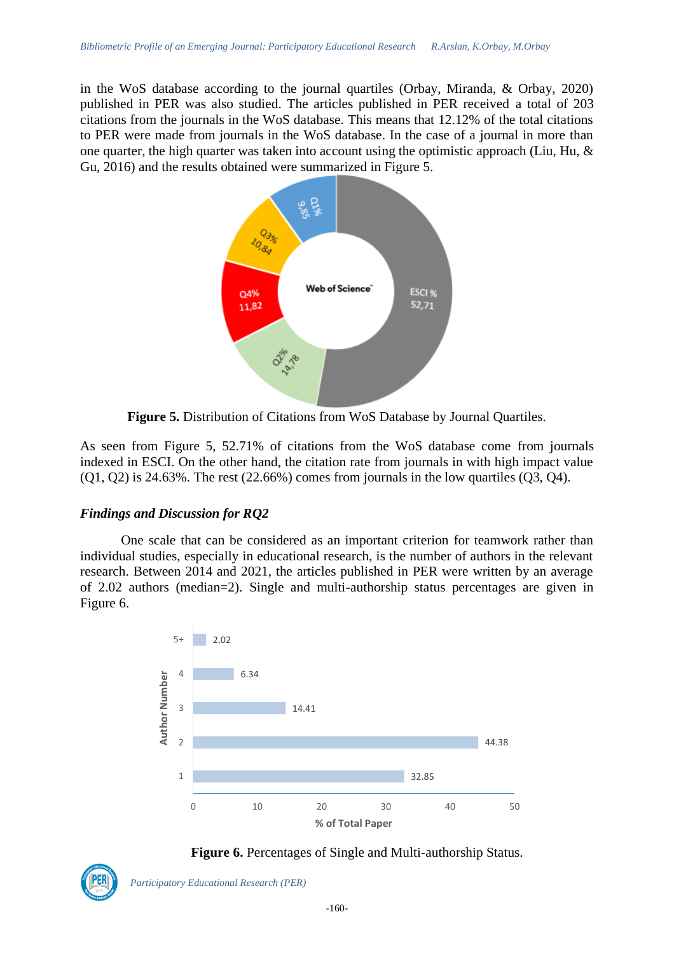in the WoS database according to the journal quartiles (Orbay, Miranda, & Orbay, 2020) published in PER was also studied. The articles published in PER received a total of 203 citations from the journals in the WoS database. This means that 12.12% of the total citations to PER were made from journals in the WoS database. In the case of a journal in more than one quarter, the high quarter was taken into account using the optimistic approach (Liu, Hu,  $\&$ Gu, 2016) and the results obtained were summarized in Figure 5.



**Figure 5.** Distribution of Citations from WoS Database by Journal Quartiles.

As seen from Figure 5, 52.71% of citations from the WoS database come from journals indexed in ESCI. On the other hand, the citation rate from journals in with high impact value  $(0, 0, 0)$  is 24.63%. The rest  $(22.66%)$  comes from journals in the low quartiles  $(0, 0, 0)$ .

### *Findings and Discussion for RQ2*

One scale that can be considered as an important criterion for teamwork rather than individual studies, especially in educational research, is the number of authors in the relevant research. Between 2014 and 2021, the articles published in PER were written by an average of 2.02 authors (median=2). Single and multi-authorship status percentages are given in Figure 6.





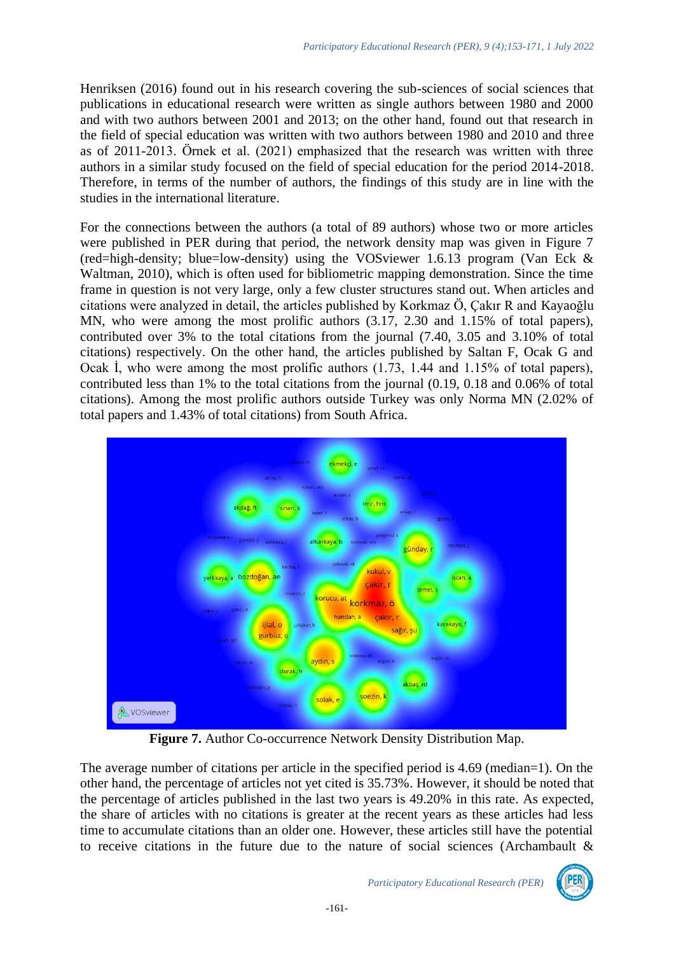Henriksen (2016) found out in his research covering the sub-sciences of social sciences that publications in educational research were written as single authors between 1980 and 2000 and with two authors between 2001 and 2013; on the other hand, found out that research in the field of special education was written with two authors between 1980 and 2010 and three as of 2011-2013. Örnek et al. (2021) emphasized that the research was written with three authors in a similar study focused on the field of special education for the period 2014-2018. Therefore, in terms of the number of authors, the findings of this study are in line with the studies in the international literature.

For the connections between the authors (a total of 89 authors) whose two or more articles were published in PER during that period, the network density map was given in Figure 7 (red=high-density; blue=low-density) using the VOSviewer 1.6.13 program (Van Eck  $\&$ Waltman, 2010), which is often used for bibliometric mapping demonstration. Since the time frame in question is not very large, only a few cluster structures stand out. When articles and citations were analyzed in detail, the articles published by Korkmaz Ö, Çakır R and Kayaoğlu MN, who were among the most prolific authors (3.17, 2.30 and 1.15% of total papers), contributed over 3% to the total citations from the journal (7.40, 3.05 and 3.10% of total citations) respectively. On the other hand, the articles published by Saltan F, Ocak G and Ocak İ, who were among the most prolific authors (1.73, 1.44 and 1.15% of total papers), contributed less than 1% to the total citations from the journal (0.19, 0.18 and 0.06% of total citations). Among the most prolific authors outside Turkey was only Norma MN (2.02% of total papers and 1.43% of total citations) from South Africa.



**Figure 7.** Author Co-occurrence Network Density Distribution Map.

The average number of citations per article in the specified period is 4.69 (median=1). On the other hand, the percentage of articles not yet cited is 35.73%. However, it should be noted that the percentage of articles published in the last two years is 49.20% in this rate. As expected, the share of articles with no citations is greater at the recent years as these articles had less time to accumulate citations than an older one. However, these articles still have the potential to receive citations in the future due to the nature of social sciences (Archambault  $\&$ 

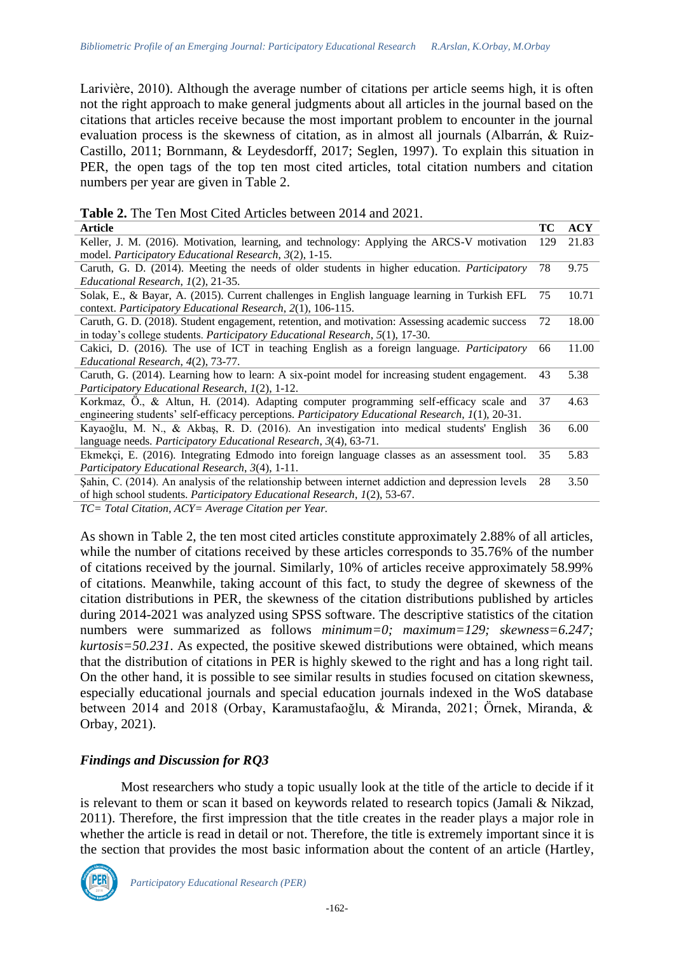Larivière, 2010). Although the average number of citations per article seems high, it is often not the right approach to make general judgments about all articles in the journal based on the citations that articles receive because the most important problem to encounter in the journal evaluation process is the skewness of citation, as in almost all journals (Albarrán, & Ruiz-Castillo, 2011; Bornmann, & Leydesdorff, 2017; Seglen, 1997). To explain this situation in PER, the open tags of the top ten most cited articles, total citation numbers and citation numbers per year are given in Table 2.

| <b>Table 2.</b> The Ten Most Cited Articles between 2014 and 2021. |  |  |  |
|--------------------------------------------------------------------|--|--|--|
|--------------------------------------------------------------------|--|--|--|

| <b>Article</b>                                                                                     | TC  | <b>ACY</b> |
|----------------------------------------------------------------------------------------------------|-----|------------|
| Keller, J. M. (2016). Motivation, learning, and technology: Applying the ARCS-V motivation         | 129 | 21.83      |
| model. Participatory Educational Research, 3(2), 1-15.                                             |     |            |
| Caruth, G. D. (2014). Meeting the needs of older students in higher education. Participatory       | 78  | 9.75       |
| Educational Research, 1(2), 21-35.                                                                 |     |            |
| Solak, E., & Bayar, A. (2015). Current challenges in English language learning in Turkish EFL      | 75  | 10.71      |
| context. Participatory Educational Research, 2(1), 106-115.                                        |     |            |
| Caruth, G. D. (2018). Student engagement, retention, and motivation: Assessing academic success    | 72  | 18.00      |
| in today's college students. Participatory Educational Research, 5(1), 17-30.                      |     |            |
| Cakici, D. (2016). The use of ICT in teaching English as a foreign language. Participatory         | 66  | 11.00      |
| Educational Research, 4(2), 73-77.                                                                 |     |            |
| Caruth, G. (2014). Learning how to learn: A six-point model for increasing student engagement.     | 43  | 5.38       |
| Participatory Educational Research, 1(2), 1-12.                                                    |     |            |
| Korkmaz, Ö., & Altun, H. (2014). Adapting computer programming self-efficacy scale and 37          |     | 4.63       |
| engineering students' self-efficacy perceptions. Participatory Educational Research, 1(1), 20-31.  |     |            |
| Kayaoğlu, M. N., & Akbaş, R. D. (2016). An investigation into medical students' English            | 36  | 6.00       |
| language needs. Participatory Educational Research, $3(4)$ , 63-71.                                |     |            |
| Ekmekçi, E. (2016). Integrating Edmodo into foreign language classes as an assessment tool.        | 35  | 5.83       |
| Participatory Educational Research, 3(4), 1-11.                                                    |     |            |
| Sahin, C. (2014). An analysis of the relationship between internet addiction and depression levels | 28  | 3.50       |
| of high school students. Participatory Educational Research, 1(2), 53-67.                          |     |            |
|                                                                                                    |     |            |

*TC= Total Citation, ACY= Average Citation per Year.*

As shown in Table 2, the ten most cited articles constitute approximately 2.88% of all articles, while the number of citations received by these articles corresponds to 35.76% of the number of citations received by the journal. Similarly, 10% of articles receive approximately 58.99% of citations. Meanwhile, taking account of this fact, to study the degree of skewness of the citation distributions in PER, the skewness of the citation distributions published by articles during 2014-2021 was analyzed using SPSS software. The descriptive statistics of the citation numbers were summarized as follows *minimum=0; maximum=129; skewness=6.247; kurtosis=50.231*. As expected, the positive skewed distributions were obtained, which means that the distribution of citations in PER is highly skewed to the right and has a long right tail. On the other hand, it is possible to see similar results in studies focused on citation skewness, especially educational journals and special education journals indexed in the WoS database between 2014 and 2018 (Orbay, Karamustafaoğlu, & Miranda, 2021; Örnek, Miranda, & Orbay, 2021).

### *Findings and Discussion for RQ3*

Most researchers who study a topic usually look at the title of the article to decide if it is relevant to them or scan it based on keywords related to research topics (Jamali & Nikzad, 2011). Therefore, the first impression that the title creates in the reader plays a major role in whether the article is read in detail or not. Therefore, the title is extremely important since it is the section that provides the most basic information about the content of an article (Hartley,

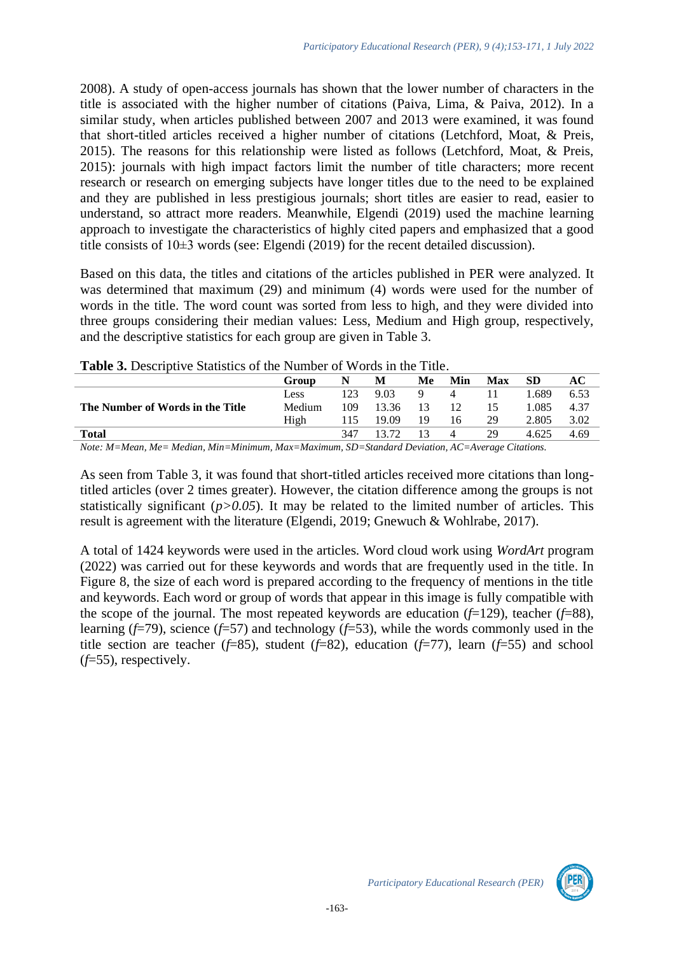2008). A study of open-access journals has shown that the lower number of characters in the title is associated with the higher number of citations (Paiva, Lima, & Paiva, 2012). In a similar study, when articles published between 2007 and 2013 were examined, it was found that short-titled articles received a higher number of citations (Letchford, Moat, & Preis, 2015). The reasons for this relationship were listed as follows (Letchford, Moat, & Preis, 2015): journals with high impact factors limit the number of title characters; more recent research or research on emerging subjects have longer titles due to the need to be explained and they are published in less prestigious journals; short titles are easier to read, easier to understand, so attract more readers. Meanwhile, Elgendi (2019) used the machine learning approach to investigate the characteristics of highly cited papers and emphasized that a good title consists of 10±3 words (see: Elgendi (2019) for the recent detailed discussion).

Based on this data, the titles and citations of the articles published in PER were analyzed. It was determined that maximum (29) and minimum (4) words were used for the number of words in the title. The word count was sorted from less to high, and they were divided into three groups considering their median values: Less, Medium and High group, respectively, and the descriptive statistics for each group are given in Table 3.

|                                  | Group  | N   | M     | Me | Min            | <b>Max</b> | <b>SD</b> | AC   |
|----------------------------------|--------|-----|-------|----|----------------|------------|-----------|------|
|                                  | Less   | 123 | 9.03  | 9  | 4              |            | .689      | 6.53 |
| The Number of Words in the Title | Medium | 109 | 13.36 | 13 | 12             | 15         | 1.085     | 4.37 |
|                                  | High   | 115 | 19.09 | 19 | 16             | 29         | 2.805     | 3.02 |
| Total                            |        | 347 | 13.72 |    | $\overline{4}$ | 29         | 4.625     | 4.69 |

| <b>Table 3.</b> Descriptive Statistics of the Number of Words in the Title. |  |  |  |
|-----------------------------------------------------------------------------|--|--|--|
|-----------------------------------------------------------------------------|--|--|--|

*Note: M=Mean, Me= Median, Min=Minimum, Max=Maximum, SD=Standard Deviation, AC=Average Citations.*

As seen from Table 3, it was found that short-titled articles received more citations than longtitled articles (over 2 times greater). However, the citation difference among the groups is not statistically significant  $(p>0.05)$ . It may be related to the limited number of articles. This result is agreement with the literature (Elgendi, 2019; Gnewuch & Wohlrabe, 2017).

A total of 1424 keywords were used in the articles. Word cloud work using *WordArt* program (2022) was carried out for these keywords and words that are frequently used in the title. In Figure 8, the size of each word is prepared according to the frequency of mentions in the title and keywords. Each word or group of words that appear in this image is fully compatible with the scope of the journal. The most repeated keywords are education  $(f=129)$ , teacher  $(f=88)$ , learning (*f*=79), science (*f*=57) and technology (*f*=53), while the words commonly used in the title section are teacher  $(f=85)$ , student  $(f=82)$ , education  $(f=77)$ , learn  $(f=55)$  and school (*f*=55), respectively.

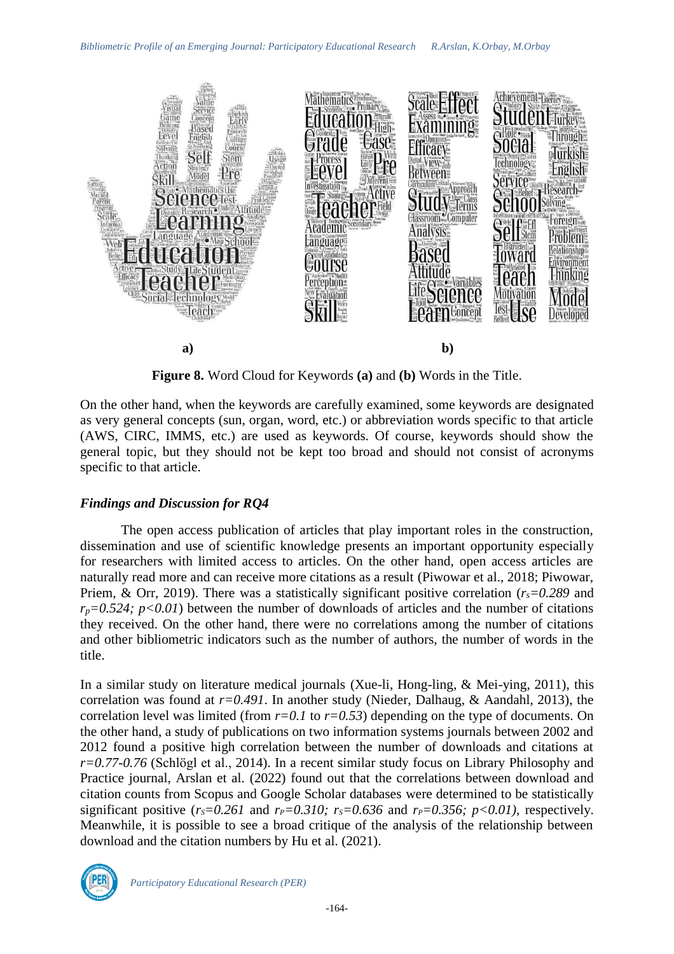

**Figure 8.** Word Cloud for Keywords **(a)** and **(b)** Words in the Title.

On the other hand, when the keywords are carefully examined, some keywords are designated as very general concepts (sun, organ, word, etc.) or abbreviation words specific to that article (AWS, CIRC, IMMS, etc.) are used as keywords. Of course, keywords should show the general topic, but they should not be kept too broad and should not consist of acronyms specific to that article.

### *Findings and Discussion for RQ4*

The open access publication of articles that play important roles in the construction, dissemination and use of scientific knowledge presents an important opportunity especially for researchers with limited access to articles. On the other hand, open access articles are naturally read more and can receive more citations as a result (Piwowar et al., 2018; Piwowar, Priem, & Orr, 2019). There was a statistically significant positive correlation (*rs=0.289* and  $r_p = 0.524$ ;  $p < 0.01$ ) between the number of downloads of articles and the number of citations they received. On the other hand, there were no correlations among the number of citations and other bibliometric indicators such as the number of authors, the number of words in the title.

In a similar study on literature medical journals (Xue-li, Hong-ling, & Mei-ying, 2011), this correlation was found at *r=0.491*. In another study (Nieder, Dalhaug, & Aandahl, 2013), the correlation level was limited (from *r=0.1* to *r=0.53*) depending on the type of documents. On the other hand, a study of publications on two information systems journals between 2002 and 2012 found a positive high correlation between the number of downloads and citations at *r=0.77-0.76* (Schlögl et al., 2014). In a recent similar study focus on Library Philosophy and Practice journal, Arslan et al. (2022) found out that the correlations between download and citation counts from Scopus and Google Scholar databases were determined to be statistically significant positive  $(r_s=0.261$  and  $r_p=0.310$ ;  $r_s=0.636$  and  $r_p=0.356$ ;  $p<0.01$ ), respectively. Meanwhile, it is possible to see a broad critique of the analysis of the relationship between download and the citation numbers by Hu et al. (2021).

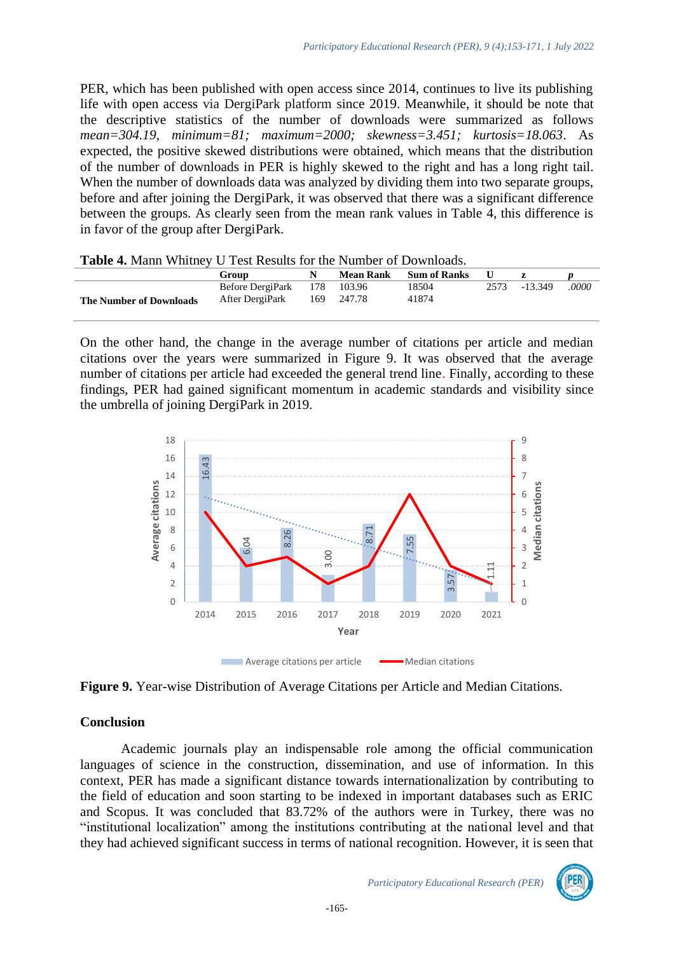PER, which has been published with open access since 2014, continues to live its publishing life with open access via DergiPark platform since 2019. Meanwhile, it should be note that the descriptive statistics of the number of downloads were summarized as follows *mean=304.19, minimum=81; maximum=2000; skewness=3.451; kurtosis=18.063*. As expected, the positive skewed distributions were obtained, which means that the distribution of the number of downloads in PER is highly skewed to the right and has a long right tail. When the number of downloads data was analyzed by dividing them into two separate groups, before and after joining the DergiPark, it was observed that there was a significant difference between the groups. As clearly seen from the mean rank values in Table 4, this difference is in favor of the group after DergiPark.

| <b>Table 4.</b> Mallil Willingy O Test Results for the Number of Downloads. |                  |    |            |                        |      |           |       |
|-----------------------------------------------------------------------------|------------------|----|------------|------------------------|------|-----------|-------|
|                                                                             | Group            | N. |            | Mean Rank Sum of Ranks |      |           |       |
|                                                                             | Before DergiPark |    | 178 103.96 | 18504                  | 2573 | $-13.349$ | .0000 |
| <b>The Number of Downloads</b>                                              | After DergiPark  |    | 169 247.78 | 41874                  |      |           |       |
|                                                                             |                  |    |            |                        |      |           |       |

|  |  |  |  |  |  |  | <b>Table 4.</b> Mann Whitney U Test Results for the Number of Downloads. |
|--|--|--|--|--|--|--|--------------------------------------------------------------------------|
|--|--|--|--|--|--|--|--------------------------------------------------------------------------|

On the other hand, the change in the average number of citations per article and median citations over the years were summarized in Figure 9. It was observed that the average number of citations per article had exceeded the general trend line. Finally, according to these findings, PER had gained significant momentum in academic standards and visibility since the umbrella of joining DergiPark in 2019.



**Figure 9.** Year-wise Distribution of Average Citations per Article and Median Citations.

### **Conclusion**

Academic journals play an indispensable role among the official communication languages of science in the construction, dissemination, and use of information. In this context, PER has made a significant distance towards internationalization by contributing to the field of education and soon starting to be indexed in important databases such as ERIC and Scopus. It was concluded that 83.72% of the authors were in Turkey, there was no "institutional localization" among the institutions contributing at the national level and that

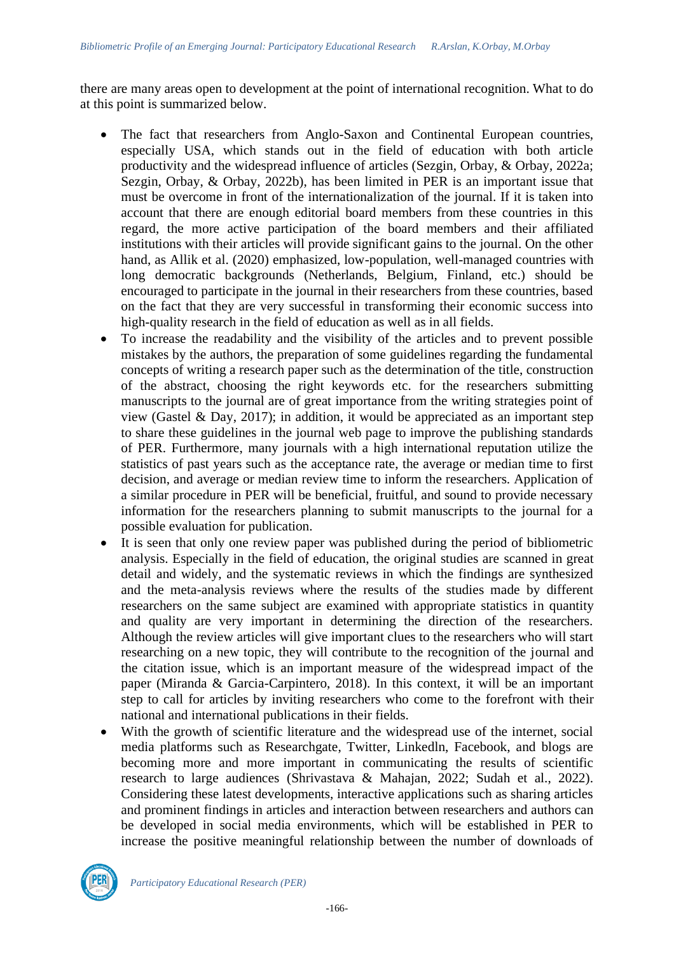there are many areas open to development at the point of international recognition. What to do at this point is summarized below.

- The fact that researchers from Anglo-Saxon and Continental European countries, especially USA, which stands out in the field of education with both article productivity and the widespread influence of articles (Sezgin, Orbay, & Orbay, 2022a; Sezgin, Orbay, & Orbay, 2022b), has been limited in PER is an important issue that must be overcome in front of the internationalization of the journal. If it is taken into account that there are enough editorial board members from these countries in this regard, the more active participation of the board members and their affiliated institutions with their articles will provide significant gains to the journal. On the other hand, as Allik et al. (2020) emphasized, low-population, well-managed countries with long democratic backgrounds (Netherlands, Belgium, Finland, etc.) should be encouraged to participate in the journal in their researchers from these countries, based on the fact that they are very successful in transforming their economic success into high-quality research in the field of education as well as in all fields.
- To increase the readability and the visibility of the articles and to prevent possible mistakes by the authors, the preparation of some guidelines regarding the fundamental concepts of writing a research paper such as the determination of the title, construction of the abstract, choosing the right keywords etc. for the researchers submitting manuscripts to the journal are of great importance from the writing strategies point of view (Gastel & Day, 2017); in addition, it would be appreciated as an important step to share these guidelines in the journal web page to improve the publishing standards of PER. Furthermore, many journals with a high international reputation utilize the statistics of past years such as the acceptance rate, the average or median time to first decision, and average or median review time to inform the researchers. Application of a similar procedure in PER will be beneficial, fruitful, and sound to provide necessary information for the researchers planning to submit manuscripts to the journal for a possible evaluation for publication.
- It is seen that only one review paper was published during the period of bibliometric analysis. Especially in the field of education, the original studies are scanned in great detail and widely, and the systematic reviews in which the findings are synthesized and the meta-analysis reviews where the results of the studies made by different researchers on the same subject are examined with appropriate statistics in quantity and quality are very important in determining the direction of the researchers. Although the review articles will give important clues to the researchers who will start researching on a new topic, they will contribute to the recognition of the journal and the citation issue, which is an important measure of the widespread impact of the paper (Miranda & Garcia-Carpintero, 2018). In this context, it will be an important step to call for articles by inviting researchers who come to the forefront with their national and international publications in their fields.
- With the growth of scientific literature and the widespread use of the internet, social media platforms such as Researchgate, Twitter, Linkedln, Facebook, and blogs are becoming more and more important in communicating the results of scientific research to large audiences (Shrivastava & Mahajan, 2022; Sudah et al., 2022). Considering these latest developments, interactive applications such as sharing articles and prominent findings in articles and interaction between researchers and authors can be developed in social media environments, which will be established in PER to increase the positive meaningful relationship between the number of downloads of

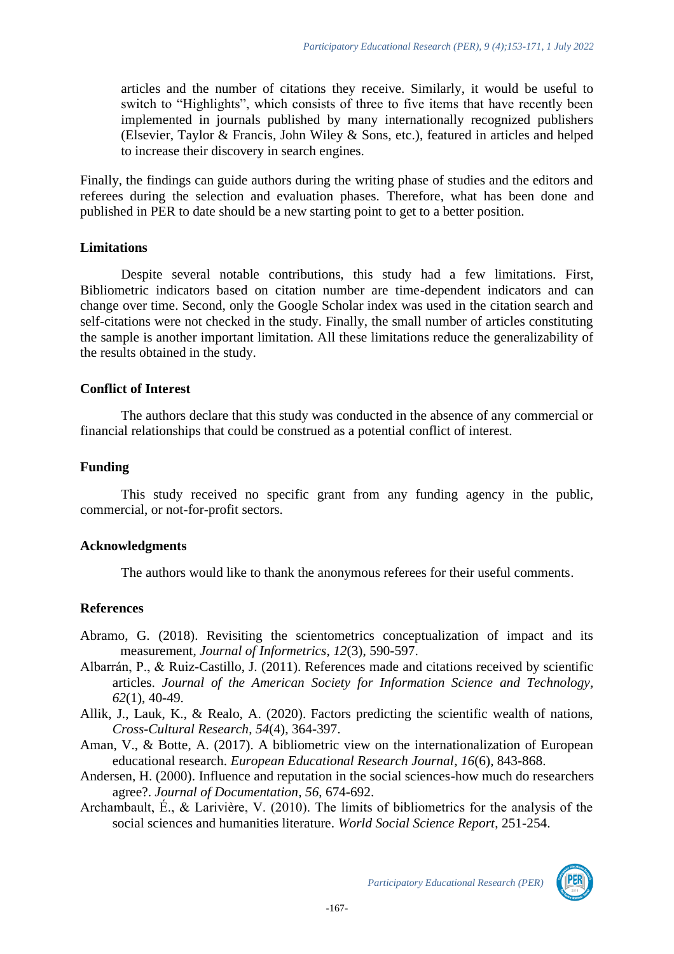articles and the number of citations they receive. Similarly, it would be useful to switch to "Highlights", which consists of three to five items that have recently been implemented in journals published by many internationally recognized publishers (Elsevier, Taylor & Francis*,* John Wiley & Sons, etc.), featured in articles and helped to increase their discovery in search engines.

Finally, the findings can guide authors during the writing phase of studies and the editors and referees during the selection and evaluation phases. Therefore, what has been done and published in PER to date should be a new starting point to get to a better position.

### **Limitations**

Despite several notable contributions, this study had a few limitations. First, Bibliometric indicators based on citation number are time-dependent indicators and can change over time. Second, only the Google Scholar index was used in the citation search and self-citations were not checked in the study. Finally, the small number of articles constituting the sample is another important limitation. All these limitations reduce the generalizability of the results obtained in the study.

### **Conflict of Interest**

The authors declare that this study was conducted in the absence of any commercial or financial relationships that could be construed as a potential conflict of interest.

### **Funding**

This study received no specific grant from any funding agency in the public, commercial, or not-for-profit sectors.

### **Acknowledgments**

The authors would like to thank the anonymous referees for their useful comments.

### **References**

- Abramo, G. (2018). Revisiting the scientometrics conceptualization of impact and its measurement, *Journal of Informetrics*, *12*(3), 590-597.
- Albarrán, P., & Ruiz-Castillo, J. (2011). References made and citations received by scientific articles. *Journal of the American Society for Information Science and Technology, 62*(1), 40-49.
- Allik, J., Lauk, K., & Realo, A. (2020). Factors predicting the scientific wealth of nations, *Cross-Cultural Research*, *54*(4), 364-397.
- Aman, V., & Botte, A. (2017). A bibliometric view on the internationalization of European educational research. *European Educational Research Journal*, *16*(6), 843-868.
- Andersen, H. (2000). Influence and reputation in the social sciences-how much do researchers agree?. *Journal of Documentation*, *56*, 674-692.
- Archambault, É., & Larivière, V. (2010). The limits of bibliometrics for the analysis of the social sciences and humanities literature. *World Social Science Report*, 251-254.

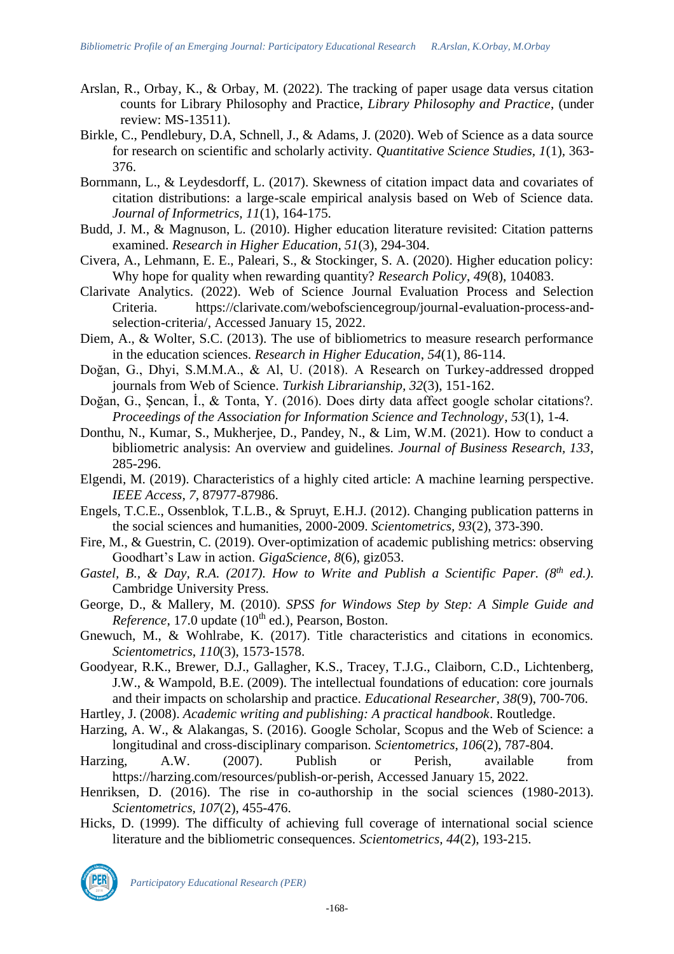- Arslan, R., Orbay, K., & Orbay, M. (2022). The tracking of paper usage data versus citation counts for Library Philosophy and Practice, *Library Philosophy and Practice*, (under review: MS-13511).
- Birkle, C., Pendlebury, D.A, Schnell, J., & Adams, J. (2020). Web of Science as a data source for research on scientific and scholarly activity. *Quantitative Science Studies, 1*(1)*,* 363- 376.
- Bornmann, L., & Leydesdorff, L. (2017). Skewness of citation impact data and covariates of citation distributions: a large-scale empirical analysis based on Web of Science data. *Journal of Informetrics, 11*(1), 164-175.
- Budd, J. M., & Magnuson, L. (2010). Higher education literature revisited: Citation patterns examined. *Research in Higher Education, 51*(3), 294-304.
- Civera, A., Lehmann, E. E., Paleari, S., & Stockinger, S. A. (2020). Higher education policy: Why hope for quality when rewarding quantity? *Research Policy*, *49*(8), 104083.
- Clarivate Analytics. (2022). Web of Science Journal Evaluation Process and Selection Criteria. [https://clarivate.com/webofsciencegroup/journal-evaluation-process-and](https://clarivate.com/webofsciencegroup/journal-evaluation-process-and-selection-criteria/)[selection-criteria/,](https://clarivate.com/webofsciencegroup/journal-evaluation-process-and-selection-criteria/) Accessed January 15, 2022.
- Diem, A., & Wolter, S.C. (2013). The use of bibliometrics to measure research performance in the education sciences. *Research in Higher Education*, *54*(1), 86-114.
- Doğan, G., Dhyi, S.M.M.A., & Al, U. (2018). A Research on Turkey-addressed dropped journals from Web of Science. *Turkish Librarianship, 32*(3), 151-162.
- Doğan, G., Şencan, İ., & Tonta, Y. (2016). Does dirty data affect google scholar citations?. *Proceedings of the Association for Information Science and Technology*, *53*(1), 1-4.
- Donthu, N., Kumar, S., Mukherjee, D., Pandey, N., & Lim, W.M. (2021). How to conduct a bibliometric analysis: An overview and guidelines. *Journal of Business Research, 133*, 285-296.
- Elgendi, M. (2019). Characteristics of a highly cited article: A machine learning perspective. *IEEE Access*, *7*, 87977-87986.
- Engels, T.C.E., Ossenblok, T.L.B., & Spruyt, E.H.J. (2012). Changing publication patterns in the social sciences and humanities, 2000-2009. *Scientometrics, 93*(2), 373-390.
- Fire, M., & Guestrin, C. (2019). Over-optimization of academic publishing metrics: observing Goodhart's Law in action. *GigaScience, 8*(6), giz053.
- *Gastel, B., & Day, R.A. (2017). How to Write and Publish a Scientific Paper. (8th ed.).* Cambridge University Press*.*
- George, D., & Mallery, M. (2010). *SPSS for Windows Step by Step: A Simple Guide and Reference*, 17.0 update  $(10<sup>th</sup>$  ed.), Pearson, Boston.
- Gnewuch, M., & Wohlrabe, K. (2017). Title characteristics and citations in economics. *Scientometrics*, *110*(3), 1573-1578.
- Goodyear, R.K., Brewer, D.J., Gallagher, K.S., Tracey, T.J.G., Claiborn, C.D., Lichtenberg, J.W., & Wampold, B.E. (2009). The intellectual foundations of education: core journals and their impacts on scholarship and practice. *Educational Researcher, 38*(9), 700-706.
- Hartley, J. (2008). *Academic writing and publishing: A practical handbook*. Routledge.
- Harzing, A. W., & Alakangas, S. (2016). Google Scholar, Scopus and the Web of Science: a longitudinal and cross-disciplinary comparison. *Scientometrics*, *106*(2), 787-804.
- Harzing, A.W. (2007). Publish or Perish, available from [https://harzing.com/resources/publish-or-perish,](https://harzing.com/resources/publish-or-perish) Accessed January 15, 2022.
- Henriksen, D. (2016). The rise in co-authorship in the social sciences (1980-2013). *Scientometrics, 107*(2), 455-476.
- Hicks, D. (1999). The difficulty of achieving full coverage of international social science literature and the bibliometric consequences. *Scientometrics, 44*(2), 193-215.

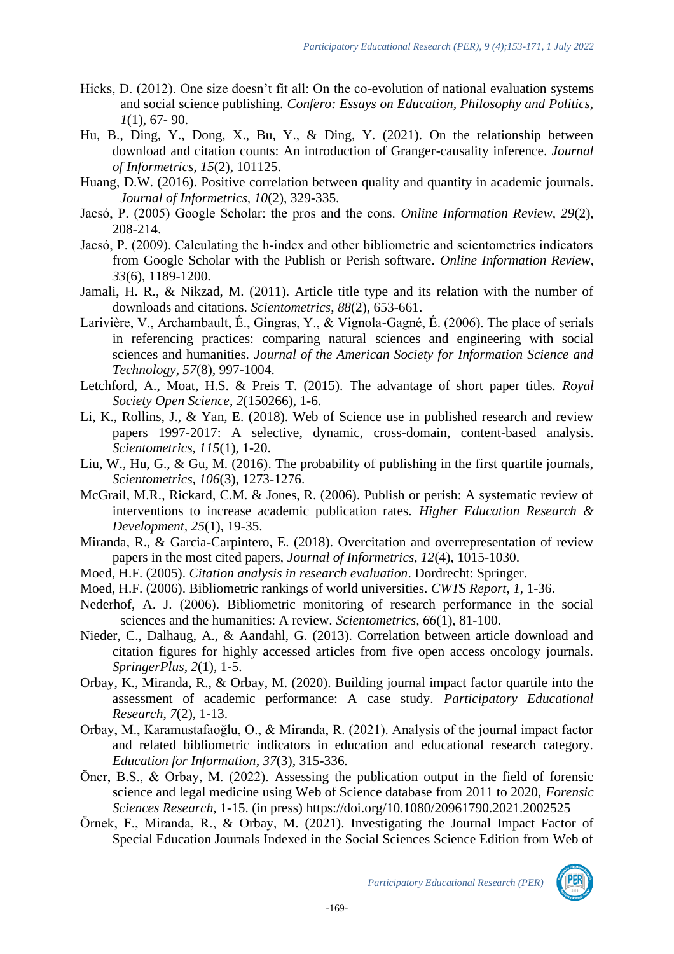- Hicks, D. (2012). One size doesn't fit all: On the co-evolution of national evaluation systems and social science publishing. *Confero: Essays on Education, Philosophy and Politics, 1*(1), 67- 90.
- Hu, B., Ding, Y., Dong, X., Bu, Y., & Ding, Y. (2021). On the relationship between download and citation counts: An introduction of Granger-causality inference. *Journal of Informetrics*, *15*(2), 101125.
- Huang, D.W. (2016). Positive correlation between quality and quantity in academic journals*. Journal of Informetrics, 10*(2), 329-335.
- Jacsó, P. (2005) Google Scholar: the pros and the cons. *Online Information Review, 29*(2), 208-214.
- Jacsó, P. (2009). Calculating the h‐index and other bibliometric and scientometrics indicators from Google Scholar with the Publish or Perish software. *Online Information Review*, *33*(6), 1189-1200.
- Jamali, H. R., & Nikzad, M. (2011). Article title type and its relation with the number of downloads and citations. *Scientometrics*, *88*(2), 653-661.
- Larivière, V., Archambault, É., Gingras, Y., & Vignola-Gagné, É. (2006). The place of serials in referencing practices: comparing natural sciences and engineering with social sciences and humanities. *Journal of the American Society for Information Science and Technology, 57*(8), 997-1004.
- Letchford, A., Moat, H.S. & Preis T. (2015). The advantage of short paper titles. *Royal Society Open Science*, *2*(150266), 1-6.
- Li, K., Rollins, J., & Yan, E. (2018). Web of Science use in published research and review papers 1997-2017: A selective, dynamic, cross-domain, content-based analysis. *Scientometrics, 115*(1), 1-20.
- Liu, W., Hu, G., & Gu, M. (2016). The probability of publishing in the first quartile journals, *Scientometrics, 106*(3), 1273-1276.
- McGrail, M.R., Rickard, C.M. & Jones, R. (2006). Publish or perish: A systematic review of interventions to increase academic publication rates. *Higher Education Research & Development, 25*(1), 19-35.
- Miranda, R., & Garcia-Carpintero, E. (2018). Overcitation and overrepresentation of review papers in the most cited papers, *Journal of Informetrics, 12*(4), 1015-1030.
- Moed, H.F. (2005). *Citation analysis in research evaluation*. Dordrecht: Springer.
- Moed, H.F. (2006). Bibliometric rankings of world universities. *CWTS Report*, *1*, 1-36.
- Nederhof, A. J. (2006). Bibliometric monitoring of research performance in the social sciences and the humanities: A review. *Scientometrics, 66*(1), 81-100.
- Nieder, C., Dalhaug, A., & Aandahl, G. (2013). Correlation between article download and citation figures for highly accessed articles from five open access oncology journals. *SpringerPlus*, *2*(1), 1-5.
- Orbay, K., Miranda, R., & Orbay, M. (2020). Building journal impact factor quartile into the assessment of academic performance: A case study. *Participatory Educational Research*, *7*(2), 1-13.
- Orbay, M., Karamustafaoğlu, O., & Miranda, R. (2021). Analysis of the journal impact factor and related bibliometric indicators in education and educational research category. *Education for Information*, *37*(3), 315-336.
- Öner, B.S., & Orbay, M. (2022). Assessing the publication output in the field of forensic science and legal medicine using Web of Science database from 2011 to 2020, *Forensic Sciences Research,* 1-15. (in press) <https://doi.org/10.1080/20961790.2021.2002525>
- Örnek, F., Miranda, R., & Orbay, M. (2021). Investigating the Journal Impact Factor of Special Education Journals Indexed in the Social Sciences Science Edition from Web of

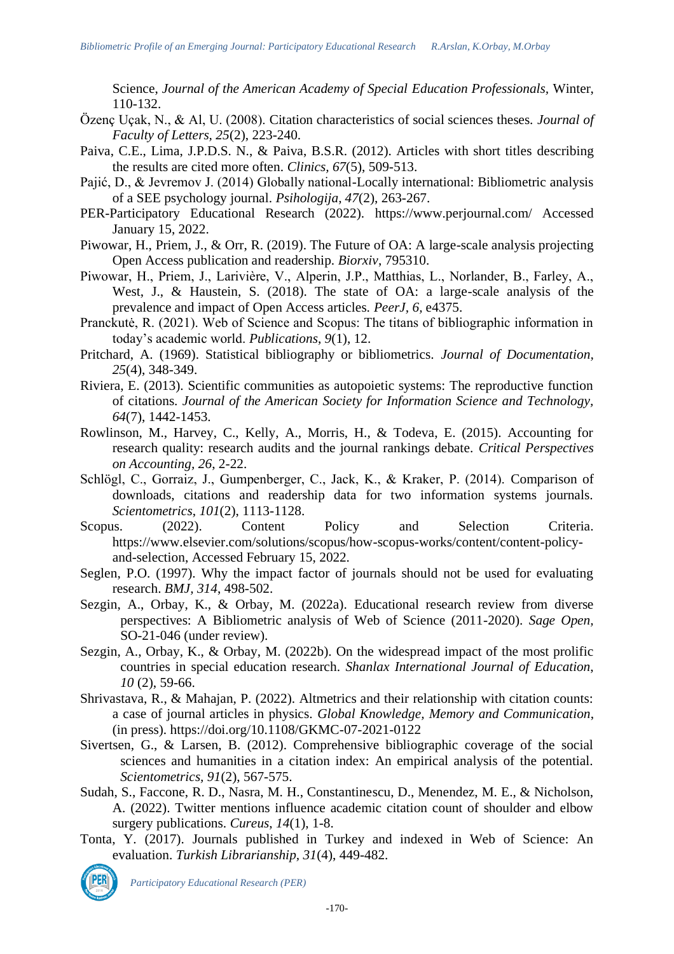Science, *Journal of the American Academy of Special Education Professionals,* Winter, 110-132.

- Özenç Uçak, N., & Al, U. (2008). Citation characteristics of social sciences theses. *Journal of Faculty of Letters, 25*(2), 223-240.
- Paiva, C.E., Lima, J.P.D.S. N., & Paiva, B.S.R. (2012). Articles with short titles describing the results are cited more often. *Clinics, 67*(5), 509-513.
- Pajić, D., & Jevremov J. (2014) Globally national-Locally international: Bibliometric analysis of a SEE psychology journal. *Psihologija, 47*(2), 263-267.
- PER-Participatory Educational Research (2022). <https://www.perjournal.com/> Accessed January 15, 2022.
- Piwowar, H., Priem, J., & Orr, R. (2019). The Future of OA: A large-scale analysis projecting Open Access publication and readership. *Biorxiv*, 795310.
- Piwowar, H., Priem, J., Larivière, V., Alperin, J.P., Matthias, L., Norlander, B., Farley, A., West, J., & Haustein, S. (2018). The state of OA: a large-scale analysis of the prevalence and impact of Open Access articles. *PeerJ, 6,* e4375.
- Pranckutė, R. (2021). Web of Science and Scopus: The titans of bibliographic information in today's academic world. *Publications*, *9*(1), 12.
- Pritchard, A. (1969). Statistical bibliography or bibliometrics. *Journal of Documentation, 25*(4), 348-349.
- Riviera, E. (2013). Scientific communities as autopoietic systems: The reproductive function of citations. *Journal of the American Society for Information Science and Technology, 64*(7), 1442-1453.
- Rowlinson, M., Harvey, C., Kelly, A., Morris, H., & Todeva, E. (2015). Accounting for research quality: research audits and the journal rankings debate. *Critical Perspectives on Accounting, 26*, 2-22.
- Schlögl, C., Gorraiz, J., Gumpenberger, C., Jack, K., & Kraker, P. (2014). Comparison of downloads, citations and readership data for two information systems journals. *Scientometrics*, *101*(2), 1113-1128.
- Scopus. (2022). Content Policy and Selection Criteria. [https://www.elsevier.com/solutions/scopus/how-scopus-works/content/content-policy](https://www.elsevier.com/solutions/scopus/how-scopus-works/content/content-policy-and-selection)[and-selection,](https://www.elsevier.com/solutions/scopus/how-scopus-works/content/content-policy-and-selection) Accessed February 15, 2022.
- Seglen, P.O. (1997). Why the impact factor of journals should not be used for evaluating research. *BMJ, 314*, 498-502.
- Sezgin, A., Orbay, K., & Orbay, M. (2022a). Educational research review from diverse perspectives: A Bibliometric analysis of Web of Science (2011-2020). *Sage Open,* SO-21-046 (under review).
- Sezgin, A., Orbay, K., & Orbay, M. (2022b). On the widespread impact of the most prolific countries in special education research. *Shanlax International Journal of Education*, *10* (2), 59-66.
- Shrivastava, R., & Mahajan, P. (2022). Altmetrics and their relationship with citation counts: a case of journal articles in physics. *Global Knowledge, Memory and Communication*, (in press).<https://doi.org/10.1108/GKMC-07-2021-0122>
- Sivertsen, G., & Larsen, B. (2012). Comprehensive bibliographic coverage of the social sciences and humanities in a citation index: An empirical analysis of the potential. *Scientometrics, 91*(2), 567-575.
- Sudah, S., Faccone, R. D., Nasra, M. H., Constantinescu, D., Menendez, M. E., & Nicholson, A. (2022). Twitter mentions influence academic citation count of shoulder and elbow surgery publications. *Cureus*, *14*(1), 1-8.
- Tonta, Y. (2017). Journals published in Turkey and indexed in Web of Science: An evaluation. *Turkish Librarianship, 31*(4), 449-482.